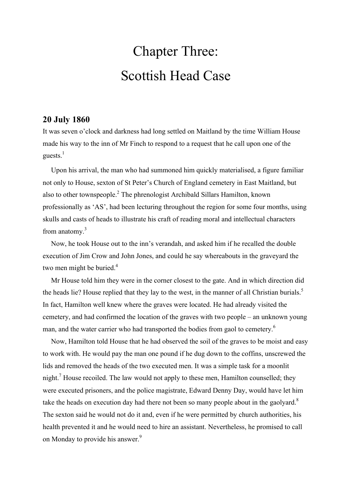# Chapter Three: Scottish Head Case

### **20 July 1860**

It was seven o'clock and darkness had long settled on Maitland by the time William House made his way to the inn of Mr Finch to respond to a request that he call upon one of the guests. $1$ 

Upon his arrival, the man who had summoned him quickly materialised, a figure familiar not only to House, sexton of St Peter's Church of England cemetery in East Maitland, but also to other townspeople.<sup>2</sup> The phrenologist Archibald Sillars Hamilton, known professionally as 'AS', had been lecturing throughout the region for some four months, using skulls and casts of heads to illustrate his craft of reading moral and intellectual characters from anatomy.<sup>3</sup>

Now, he took House out to the inn's verandah, and asked him if he recalled the double execution of Jim Crow and John Jones, and could he say whereabouts in the graveyard the two men might be buried.<sup>4</sup>

Mr House told him they were in the corner closest to the gate. And in which direction did the heads lie? House replied that they lay to the west, in the manner of all Christian burials.<sup>5</sup> In fact, Hamilton well knew where the graves were located. He had already visited the cemetery, and had confirmed the location of the graves with two people – an unknown young man, and the water carrier who had transported the bodies from gaol to cemetery.<sup>6</sup>

Now, Hamilton told House that he had observed the soil of the graves to be moist and easy to work with. He would pay the man one pound if he dug down to the coffins, unscrewed the lids and removed the heads of the two executed men. It was a simple task for a moonlit night.<sup>7</sup> House recoiled. The law would not apply to these men, Hamilton counselled; they were executed prisoners, and the police magistrate, Edward Denny Day, would have let him take the heads on execution day had there not been so many people about in the gaolyard.<sup>8</sup> The sexton said he would not do it and, even if he were permitted by church authorities, his health prevented it and he would need to hire an assistant. Nevertheless, he promised to call on Monday to provide his answer.<sup>9</sup>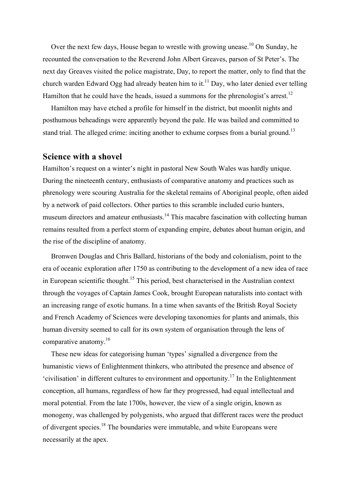Over the next few days, House began to wrestle with growing unease.<sup>10</sup> On Sunday, he recounted the conversation to the Reverend John Albert Greaves, parson of St Peter's. The next day Greaves visited the police magistrate, Day, to report the matter, only to find that the church warden Edward Ogg had already beaten him to it.<sup>11</sup> Day, who later denied ever telling Hamilton that he could have the heads, issued a summons for the phrenologist's arrest.<sup>12</sup>

Hamilton may have etched a profile for himself in the district, but moonlit nights and posthumous beheadings were apparently beyond the pale. He was bailed and committed to stand trial. The alleged crime: inciting another to exhume corpses from a burial ground.<sup>13</sup>

#### **Science with a shovel**

Hamilton's request on a winter's night in pastoral New South Wales was hardly unique. During the nineteenth century, enthusiasts of comparative anatomy and practices such as phrenology were scouring Australia for the skeletal remains of Aboriginal people, often aided by a network of paid collectors. Other parties to this scramble included curio hunters, museum directors and amateur enthusiasts.<sup>14</sup> This macabre fascination with collecting human remains resulted from a perfect storm of expanding empire, debates about human origin, and the rise of the discipline of anatomy.

Bronwen Douglas and Chris Ballard, historians of the body and colonialism, point to the era of oceanic exploration after 1750 as contributing to the development of a new idea of race in European scientific thought.<sup>15</sup> This period, best characterised in the Australian context through the voyages of Captain James Cook, brought European naturalists into contact with an increasing range of exotic humans. In a time when savants of the British Royal Society and French Academy of Sciences were developing taxonomies for plants and animals, this human diversity seemed to call for its own system of organisation through the lens of comparative anatomy.<sup>16</sup>

These new ideas for categorising human 'types' signalled a divergence from the humanistic views of Enlightenment thinkers, who attributed the presence and absence of 'civilisation' in different cultures to environment and opportunity.<sup>17</sup> In the Enlightenment conception, all humans, regardless of how far they progressed, had equal intellectual and moral potential. From the late 1700s, however, the view of a single origin, known as monogeny, was challenged by polygenists, who argued that different races were the product of divergent species.<sup>18</sup> The boundaries were immutable, and white Europeans were necessarily at the apex.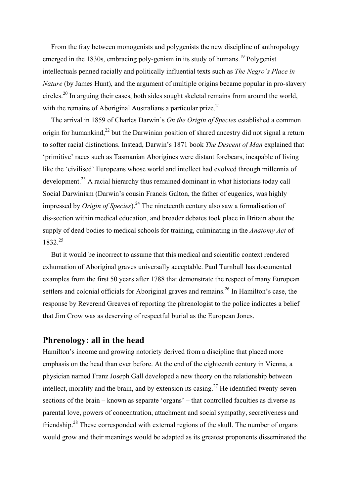From the fray between monogenists and polygenists the new discipline of anthropology emerged in the  $1830s$ , embracing poly-genism in its study of humans.<sup>19</sup> Polygenist intellectuals penned racially and politically influential texts such as *The Negro's Place in Nature* (by James Hunt), and the argument of multiple origins became popular in pro-slavery circles.<sup>20</sup> In arguing their cases, both sides sought skeletal remains from around the world, with the remains of Aboriginal Australians a particular prize.<sup>21</sup>

The arrival in 1859 of Charles Darwin's *On the Origin of Species* established a common origin for humankind,<sup>22</sup> but the Darwinian position of shared ancestry did not signal a return to softer racial distinctions. Instead, Darwin's 1871 book *The Descent of Man* explained that 'primitive' races such as Tasmanian Aborigines were distant forebears, incapable of living like the 'civilised' Europeans whose world and intellect had evolved through millennia of development.<sup>23</sup> A racial hierarchy thus remained dominant in what historians today call Social Darwinism (Darwin's cousin Francis Galton, the father of eugenics, was highly impressed by *Origin of Species*).<sup>24</sup> The nineteenth century also saw a formalisation of dis-section within medical education, and broader debates took place in Britain about the supply of dead bodies to medical schools for training, culminating in the *Anatomy Act* of 1832.25

But it would be incorrect to assume that this medical and scientific context rendered exhumation of Aboriginal graves universally acceptable. Paul Turnbull has documented examples from the first 50 years after 1788 that demonstrate the respect of many European settlers and colonial officials for Aboriginal graves and remains.<sup>26</sup> In Hamilton's case, the response by Reverend Greaves of reporting the phrenologist to the police indicates a belief that Jim Crow was as deserving of respectful burial as the European Jones.

#### **Phrenology: all in the head**

Hamilton's income and growing notoriety derived from a discipline that placed more emphasis on the head than ever before. At the end of the eighteenth century in Vienna, a physician named Franz Joseph Gall developed a new theory on the relationship between intellect, morality and the brain, and by extension its casing.<sup>27</sup> He identified twenty-seven sections of the brain – known as separate 'organs' – that controlled faculties as diverse as parental love, powers of concentration, attachment and social sympathy, secretiveness and friendship.<sup>28</sup> These corresponded with external regions of the skull. The number of organs would grow and their meanings would be adapted as its greatest proponents disseminated the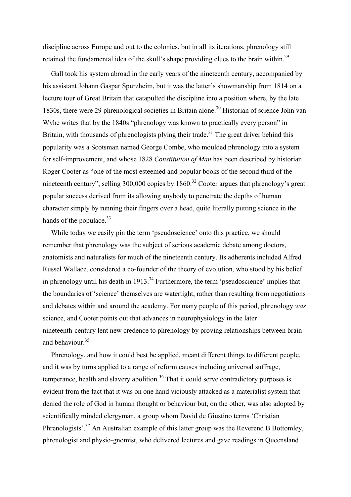discipline across Europe and out to the colonies, but in all its iterations, phrenology still retained the fundamental idea of the skull's shape providing clues to the brain within.<sup>29</sup>

Gall took his system abroad in the early years of the nineteenth century, accompanied by his assistant Johann Gaspar Spurzheim, but it was the latter's showmanship from 1814 on a lecture tour of Great Britain that catapulted the discipline into a position where, by the late 1830s, there were 29 phrenological societies in Britain alone.<sup>30</sup> Historian of science John van Wyhe writes that by the 1840s "phrenology was known to practically every person" in Britain, with thousands of phrenologists plying their trade.<sup>31</sup> The great driver behind this popularity was a Scotsman named George Combe, who moulded phrenology into a system for self-improvement, and whose 1828 *Constitution of Man* has been described by historian Roger Cooter as "one of the most esteemed and popular books of the second third of the nineteenth century", selling 300,000 copies by 1860.<sup>32</sup> Cooter argues that phrenology's great popular success derived from its allowing anybody to penetrate the depths of human character simply by running their fingers over a head, quite literally putting science in the hands of the populace. $33$ 

While today we easily pin the term 'pseudoscience' onto this practice, we should remember that phrenology was the subject of serious academic debate among doctors, anatomists and naturalists for much of the nineteenth century. Its adherents included Alfred Russel Wallace, considered a co-founder of the theory of evolution, who stood by his belief in phrenology until his death in  $1913$ <sup>34</sup> Furthermore, the term 'pseudoscience' implies that the boundaries of 'science' themselves are watertight, rather than resulting from negotiations and debates within and around the academy. For many people of this period, phrenology *was* science, and Cooter points out that advances in neurophysiology in the later nineteenth-century lent new credence to phrenology by proving relationships between brain and behaviour.<sup>35</sup>

Phrenology, and how it could best be applied, meant different things to different people, and it was by turns applied to a range of reform causes including universal suffrage, temperance, health and slavery abolition.<sup>36</sup> That it could serve contradictory purposes is evident from the fact that it was on one hand viciously attacked as a materialist system that denied the role of God in human thought or behaviour but, on the other, was also adopted by scientifically minded clergyman, a group whom David de Giustino terms 'Christian Phrenologists'.<sup>37</sup> An Australian example of this latter group was the Reverend B Bottomley, phrenologist and physio-gnomist, who delivered lectures and gave readings in Queensland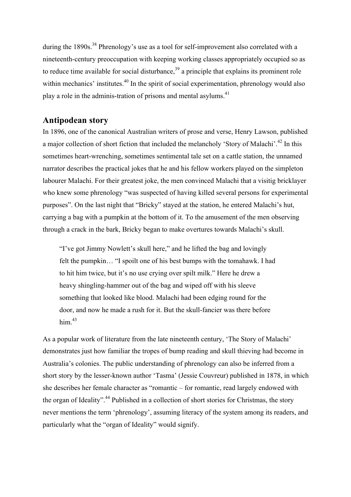during the 1890s.<sup>38</sup> Phrenology's use as a tool for self-improvement also correlated with a nineteenth-century preoccupation with keeping working classes appropriately occupied so as to reduce time available for social disturbance.<sup>39</sup> a principle that explains its prominent role within mechanics' institutes.<sup>40</sup> In the spirit of social experimentation, phrenology would also play a role in the adminis-tration of prisons and mental asylums.<sup>41</sup>

## **Antipodean story**

In 1896, one of the canonical Australian writers of prose and verse, Henry Lawson, published a major collection of short fiction that included the melancholy 'Story of Malachi'.<sup>42</sup> In this sometimes heart-wrenching, sometimes sentimental tale set on a cattle station, the unnamed narrator describes the practical jokes that he and his fellow workers played on the simpleton labourer Malachi. For their greatest joke, the men convinced Malachi that a visitig bricklayer who knew some phrenology "was suspected of having killed several persons for experimental purposes". On the last night that "Bricky" stayed at the station, he entered Malachi's hut, carrying a bag with a pumpkin at the bottom of it. To the amusement of the men observing through a crack in the bark, Bricky began to make overtures towards Malachi's skull.

"I've got Jimmy Nowlett's skull here," and he lifted the bag and lovingly felt the pumpkin… "I spoilt one of his best bumps with the tomahawk. I had to hit him twice, but it's no use crying over spilt milk." Here he drew a heavy shingling-hammer out of the bag and wiped off with his sleeve something that looked like blood. Malachi had been edging round for the door, and now he made a rush for it. But the skull-fancier was there before him $^{43}$ 

As a popular work of literature from the late nineteenth century, 'The Story of Malachi' demonstrates just how familiar the tropes of bump reading and skull thieving had become in Australia's colonies. The public understanding of phrenology can also be inferred from a short story by the lesser-known author 'Tasma' (Jessie Couvreur) published in 1878, in which she describes her female character as "romantic – for romantic, read largely endowed with the organ of Ideality".<sup>44</sup> Published in a collection of short stories for Christmas, the story never mentions the term 'phrenology', assuming literacy of the system among its readers, and particularly what the "organ of Ideality" would signify.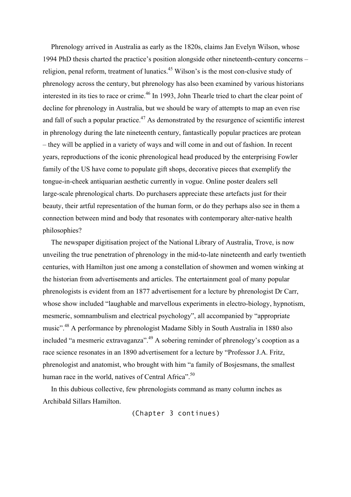Phrenology arrived in Australia as early as the 1820s, claims Jan Evelyn Wilson, whose 1994 PhD thesis charted the practice's position alongside other nineteenth-century concerns – religion, penal reform, treatment of lunatics.<sup>45</sup> Wilson's is the most con-clusive study of phrenology across the century, but phrenology has also been examined by various historians interested in its ties to race or crime.<sup>46</sup> In 1993, John Thearle tried to chart the clear point of decline for phrenology in Australia, but we should be wary of attempts to map an even rise and fall of such a popular practice.<sup>47</sup> As demonstrated by the resurgence of scientific interest in phrenology during the late nineteenth century, fantastically popular practices are protean – they will be applied in a variety of ways and will come in and out of fashion. In recent years, reproductions of the iconic phrenological head produced by the enterprising Fowler family of the US have come to populate gift shops, decorative pieces that exemplify the tongue-in-cheek antiquarian aesthetic currently in vogue. Online poster dealers sell large-scale phrenological charts. Do purchasers appreciate these artefacts just for their beauty, their artful representation of the human form, or do they perhaps also see in them a connection between mind and body that resonates with contemporary alter-native health philosophies?

The newspaper digitisation project of the National Library of Australia, Trove, is now unveiling the true penetration of phrenology in the mid-to-late nineteenth and early twentieth centuries, with Hamilton just one among a constellation of showmen and women winking at the historian from advertisements and articles. The entertainment goal of many popular phrenologists is evident from an 1877 advertisement for a lecture by phrenologist Dr Carr, whose show included "laughable and marvellous experiments in electro-biology, hypnotism, mesmeric, somnambulism and electrical psychology", all accompanied by "appropriate music".<sup>48</sup> A performance by phrenologist Madame Sibly in South Australia in 1880 also included "a mesmeric extravaganza".<sup>49</sup> A sobering reminder of phrenology's cooption as a race science resonates in an 1890 advertisement for a lecture by "Professor J.A. Fritz, phrenologist and anatomist, who brought with him "a family of Bosjesmans, the smallest human race in the world, natives of Central Africa".<sup>50</sup>

In this dubious collective, few phrenologists command as many column inches as Archibald Sillars Hamilton.

(Chapter 3 continues)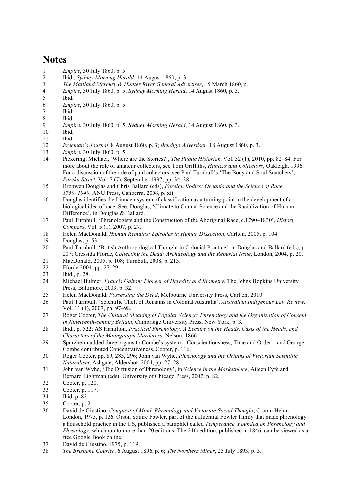# **Notes**

- *Empire*, 30 July 1860, p. 5.
- Ibid.; *Sydney Morning Herald*, 14 August 1860, p. 3.
- *The Maitland Mercury & Hunter River General Advertiser*, 15 March 1860, p. 1.
- *Empire*, 30 July 1860, p. 5; *Sydney Morning Herald*, 14 August 1860, p. 3.
- Ibid.
- *Empire*, 30 July 1860, p. 5.
- Ibid.
- Ibid.
- *Empire*, 30 July 1860, p. 5; *Sydney Morning Herald*, 14 August 1860, p. 3.
- Ibid.
- Ibid.
- *Freeman's Journal*, 8 August 1860, p. 3; *Bendigo Advertiser*, 18 August 1860, p. 3.
- *Empire*, 30 July 1860, p. 5.
- Pickering, Michael, 'Where are the Stories?', *The Public Historian,* Vol. 32 (1), 2010, pp. 82–84. For more about the role of amateur collectors, see Tom Griffiths, *Hunters and Collectors*, Oakleigh, 1996. For a discussion of the role of paid collectors, see Paul Turnbull's 'The Body and Soul Snatchers', *Eureka Street*, Vol. 7 (7), September 1997, pp. 34–38.
- Bronwen Douglas and Chris Ballard (eds), *Foreign Bodies: Oceania and the Science of Race 1750–1940*, ANU Press, Canberra, 2008, p. xii.
- Douglas identifies the Linnaen system of classification as a turning point in the development of a biological idea of race. See: Douglas, 'Climate to Crania: Science and the Racialization of Human Difference', in Douglas & Ballard.
- Paul Turnbull, 'Phrenologists and the Construction of the Aboriginal Race, c.1790–1830', *History Compass*, Vol. 5 (1), 2007, p. 27.
- Helen MacDonald, *Human Remains: Episodes in Human Dissection*, Carlton, 2005, p. 104.
- Douglas, p. 53.
- Paul Turnbull, 'British Anthropological Thought in Colonial Practice', in Douglas and Ballard (eds), p. 207; Cressida Fforde, *Collecting the Dead: Archaeology and the Reburial Issue*, London, 2004, p. 20.
- MacDonald, 2005, p. 108; Turnbull, 2008, p. 213.
- Fforde 2004, pp. 27–29.
- Ibid., p. 28.
- Michael Bulmer, *Francis Galton: Pioneer of Heredity and Biometry*, The Johns Hopkins University Press, Baltimore, 2003, p. 32.
- Helen MacDonald, *Possessing the Dead*, Melbourne University Press, Carlton, 2010.
- Paul Turnbull, 'Scientific Theft of Remains in Colonial Australia', *Australian Indigenous Law Review*, Vol. 11 (1), 2007, pp. 97–98.
- Roger Cooter, *The Cultural Meaning of Popular Science: Phrenology and the Organization of Consent in Nineteenth-century Britain*, Cambridge University Press, New York, p. 3.
- Ibid., p. 522; AS Hamilton, *Practical Phrenology: A Lecture on the Heads, Casts of the Heads, and Characters of the Maungatapu Murderers*, Nelson, 1866.
- Spurzheim added three organs to Combe's system Conscientiousness, Time and Order and George Combe contributed Concentrativeness. Cooter, p. 116.
- Roger Cooter, pp. 89, 283, 296; John van Wyhe, *Phrenology and the Origins of Victorian Scientific Naturalism*, Ashgate, Aldershot, 2004, pp. 27–28.
- John van Wyhe, 'The Diffusion of Phrenology', in *Science in the Marketplace*, Aileen Fyfe and Bernard Lightman (eds), University of Chicago Press, 2007, p. 82.
- Cooter, p, 120.
- Cooter, p. 117.
- Ibid, p. 83.
- Cooter, p. 21.
- David de Giustino, *Conquest of Mind: Phrenology and Victorian Social Thought*, Croom Helm, London, 1975, p. 136. Orson Squire Fowler, part of the influential Fowler family that made phrenology a household practice in the US, published a pamphlet called *Temperance, Founded on Phrenology and Physiology*, which ran to more than 20 editions. The 24th edition, published in 1846, can be viewed as a free Google Book online.
- David de Giustino, 1975, p. 119.
- *The Brisbane Courier*, 6 August 1896, p. 6; *The Northern Miner*, 25 July 1893, p. 3.